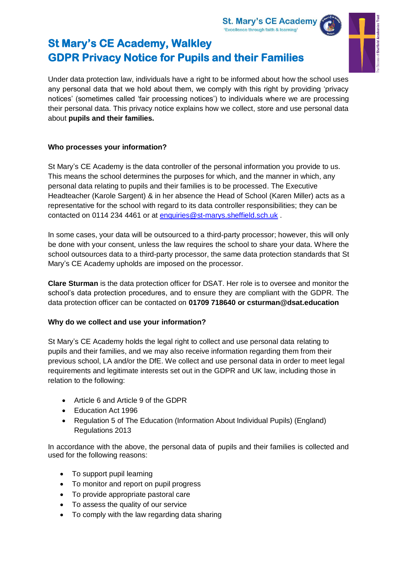

Under data protection law, individuals have a right to be informed about how the school uses any personal data that we hold about them, we comply with this right by providing 'privacy notices' (sometimes called 'fair processing notices') to individuals where we are processing their personal data. This privacy notice explains how we collect, store and use personal data about **pupils and their families.**

## **Who processes your information?**

St Mary's CE Academy is the data controller of the personal information you provide to us. This means the school determines the purposes for which, and the manner in which, any personal data relating to pupils and their families is to be processed. The Executive Headteacher (Karole Sargent) & in her absence the Head of School (Karen Miller) acts as a representative for the school with regard to its data controller responsibilities; they can be contacted on 0114 234 4461 or at [enquiries@st-marys.sheffield.sch.uk](mailto:enquiries@st-marys.sheffield.sch.uk) .

In some cases, your data will be outsourced to a third-party processor; however, this will only be done with your consent, unless the law requires the school to share your data. Where the school outsources data to a third-party processor, the same data protection standards that St Mary's CE Academy upholds are imposed on the processor.

**Clare Sturman** is the data protection officer for DSAT. Her role is to oversee and monitor the school's data protection procedures, and to ensure they are compliant with the GDPR. The data protection officer can be contacted on **01709 718640 or csturman@dsat.education**

# **Why do we collect and use your information?**

St Mary's CE Academy holds the legal right to collect and use personal data relating to pupils and their families, and we may also receive information regarding them from their previous school, LA and/or the DfE. We collect and use personal data in order to meet legal requirements and legitimate interests set out in the GDPR and UK law, including those in relation to the following:

- Article 6 and Article 9 of the GDPR
- Education Act 1996
- Regulation 5 of The Education (Information About Individual Pupils) (England) Regulations 2013

In accordance with the above, the personal data of pupils and their families is collected and used for the following reasons:

- To support pupil learning
- To monitor and report on pupil progress
- To provide appropriate pastoral care
- To assess the quality of our service
- To comply with the law regarding data sharing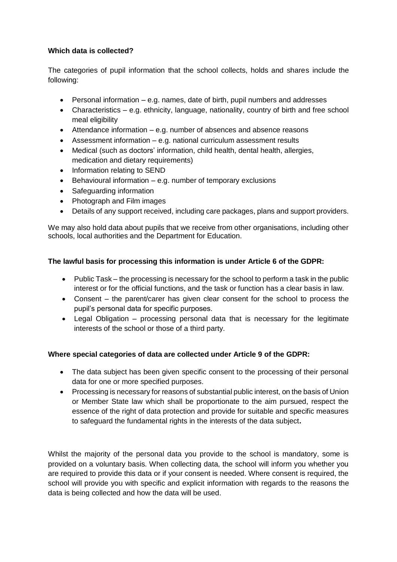### **Which data is collected?**

The categories of pupil information that the school collects, holds and shares include the following:

- Personal information e.g. names, date of birth, pupil numbers and addresses
- Characteristics e.g. ethnicity, language, nationality, country of birth and free school meal eligibility
- Attendance information e.g. number of absences and absence reasons
- Assessment information e.g. national curriculum assessment results
- Medical (such as doctors' information, child health, dental health, allergies, medication and dietary requirements)
- Information relating to SEND
- Behavioural information e.g. number of temporary exclusions
- Safeguarding information
- Photograph and Film images
- Details of any support received, including care packages, plans and support providers.

We may also hold data about pupils that we receive from other organisations, including other schools, local authorities and the Department for Education.

### **The lawful basis for processing this information is under Article 6 of the GDPR:**

- Public Task the processing is necessary for the school to perform a task in the public interest or for the official functions, and the task or function has a clear basis in law.
- Consent the parent/carer has given clear consent for the school to process the pupil's personal data for specific purposes.
- Legal Obligation processing personal data that is necessary for the legitimate interests of the school or those of a third party.

### **Where special categories of data are collected under Article 9 of the GDPR:**

- The data subject has been given specific consent to the processing of their personal data for one or more specified purposes.
- Processing is necessary for reasons of substantial public interest, on the basis of Union or Member State law which shall be proportionate to the aim pursued, respect the essence of the right of data protection and provide for suitable and specific measures to safeguard the fundamental rights in the interests of the data subject**.**

Whilst the majority of the personal data you provide to the school is mandatory, some is provided on a voluntary basis. When collecting data, the school will inform you whether you are required to provide this data or if your consent is needed. Where consent is required, the school will provide you with specific and explicit information with regards to the reasons the data is being collected and how the data will be used.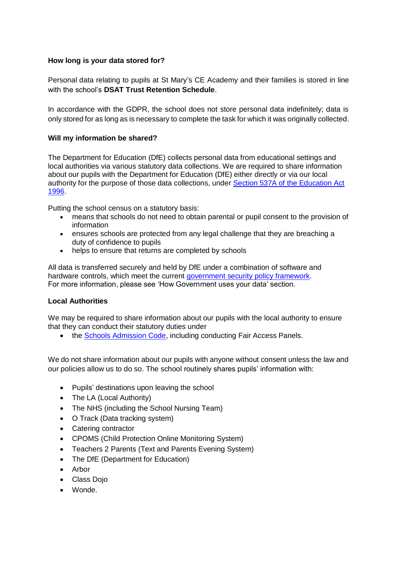### **How long is your data stored for?**

Personal data relating to pupils at St Mary's CE Academy and their families is stored in line with the school's **DSAT Trust Retention Schedule**.

In accordance with the GDPR, the school does not store personal data indefinitely; data is only stored for as long as is necessary to complete the task for which it was originally collected.

#### **Will my information be shared?**

The Department for Education (DfE) collects personal data from educational settings and local authorities via various statutory data collections. We are required to share information about our pupils with the Department for Education (DfE) either directly or via our local authority for the purpose of those data collections, under [Section 537A of the Education Act](http://www.legislation.gov.uk/ukpga/1996/56/section/537A)  [1996.](http://www.legislation.gov.uk/ukpga/1996/56/section/537A)

Putting the school census on a statutory basis:

- means that schools do not need to obtain parental or pupil consent to the provision of information
- ensures schools are protected from any legal challenge that they are breaching a duty of confidence to pupils
- helps to ensure that returns are completed by schools

All data is transferred securely and held by DfE under a combination of software and hardware controls, which meet the current [government security policy framework.](https://www.gov.uk/government/publications/security-policy-framework) For more information, please see 'How Government uses your data' section.

#### **Local Authorities**

We may be required to share information about our pupils with the local authority to ensure that they can conduct their statutory duties under

• the [Schools Admission Code,](https://www.gov.uk/government/publications/school-admissions-code--2) including conducting Fair Access Panels.

We do not share information about our pupils with anyone without consent unless the law and our policies allow us to do so. The school routinely shares pupils' information with:

- Pupils' destinations upon leaving the school
- The LA (Local Authority)
- The NHS (including the School Nursing Team)
- O Track (Data tracking system)
- Catering contractor
- CPOMS (Child Protection Online Monitoring System)
- Teachers 2 Parents (Text and Parents Evening System)
- The DfE (Department for Education)
- Arbor
- Class Dojo
- Wonde.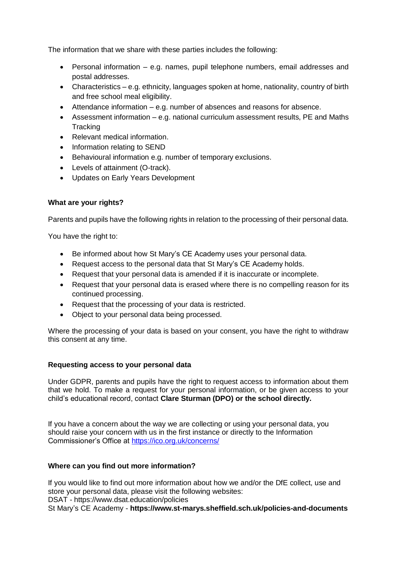The information that we share with these parties includes the following:

- Personal information e.g. names, pupil telephone numbers, email addresses and postal addresses.
- Characteristics e.g. ethnicity, languages spoken at home, nationality, country of birth and free school meal eligibility.
- Attendance information e.g. number of absences and reasons for absence.
- Assessment information e.g. national curriculum assessment results, PE and Maths **Tracking**
- Relevant medical information.
- Information relating to SEND
- Behavioural information e.g. number of temporary exclusions.
- Levels of attainment (O-track).
- Updates on Early Years Development

### **What are your rights?**

Parents and pupils have the following rights in relation to the processing of their personal data.

You have the right to:

- Be informed about how St Mary's CE Academy uses your personal data.
- Request access to the personal data that St Mary's CE Academy holds.
- Request that your personal data is amended if it is inaccurate or incomplete.
- Request that your personal data is erased where there is no compelling reason for its continued processing.
- Request that the processing of your data is restricted.
- Object to your personal data being processed.

Where the processing of your data is based on your consent, you have the right to withdraw this consent at any time.

#### **Requesting access to your personal data**

Under GDPR, parents and pupils have the right to request access to information about them that we hold. To make a request for your personal information, or be given access to your child's educational record, contact **Clare Sturman (DPO) or the school directly.**

If you have a concern about the way we are collecting or using your personal data, you should raise your concern with us in the first instance or directly to the Information Commissioner's Office at<https://ico.org.uk/concerns/>

### **Where can you find out more information?**

If you would like to find out more information about how we and/or the DfE collect, use and store your personal data, please visit the following websites: DSAT - https://www.dsat.education/policies St Mary's CE Academy - **https://www.st-marys.sheffield.sch.uk/policies-and-documents**